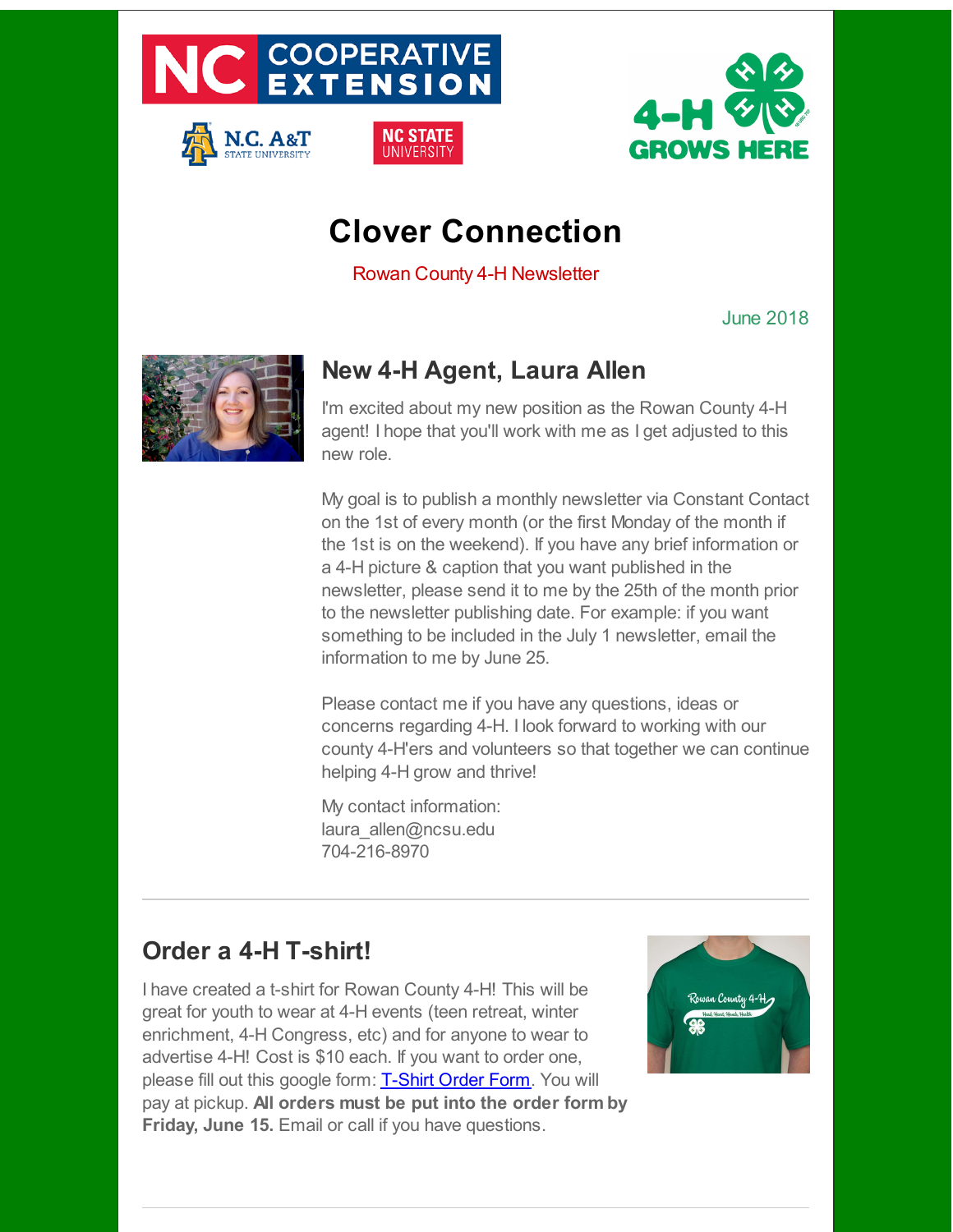

N.C. A&T



# **Clover Connection**

NC STATE

**IINIVERSIT** 

Rowan County 4-H Newsletter

June 2018



# **New 4-H Agent, Laura Allen**

I'm excited about my new position as the Rowan County 4-H agent! I hope that you'll work with me as I get adjusted to this new role.

My goal is to publish a monthly newsletter via Constant Contact on the 1st of every month (or the first Monday of the month if the 1st is on the weekend). If you have any brief information or a 4-H picture & caption that you want published in the newsletter, please send it to me by the 25th of the month prior to the newsletter publishing date. For example: if you want something to be included in the July 1 newsletter, email the information to me by June 25.

Please contact me if you have any questions, ideas or concerns regarding 4-H. I look forward to working with our county 4-H'ers and volunteers so that together we can continue helping 4-H grow and thrive!

My contact information: laura\_allen@ncsu.edu 704-216-8970

### **Order a 4-H T-shirt!**

I have created a t-shirt for Rowan County 4-H! This will be great for youth to wear at 4-H events (teen retreat, winter enrichment, 4-H Congress, etc) and for anyone to wear to advertise 4-H! Cost is \$10 each. If you want to order one, please fill out this google form: [T-Shirt](http://r20.rs6.net/tn.jsp?f=001znsxPpMki35KcnenLoJ_boFrU_M-w3iMEr5WfuDfbzYW9Kn4Ux-n8EbegsWmBS6_eWXXg-qnw7yTogQhm3-n8ixyIQWhgQZZZQf7T342TbBAhDDZZZCmIEoTeKD4C7BFA2FDcVcQDyyqqbqLLv4nkVUSo2HmYa1ZjsAg4wYSjuABPdxXk1z9utkCh2N1_c5F&c=&ch=) Order Form. You will pay at pickup. **All orders must be put into the order form by Friday, June 15.** Email or call if you have questions.

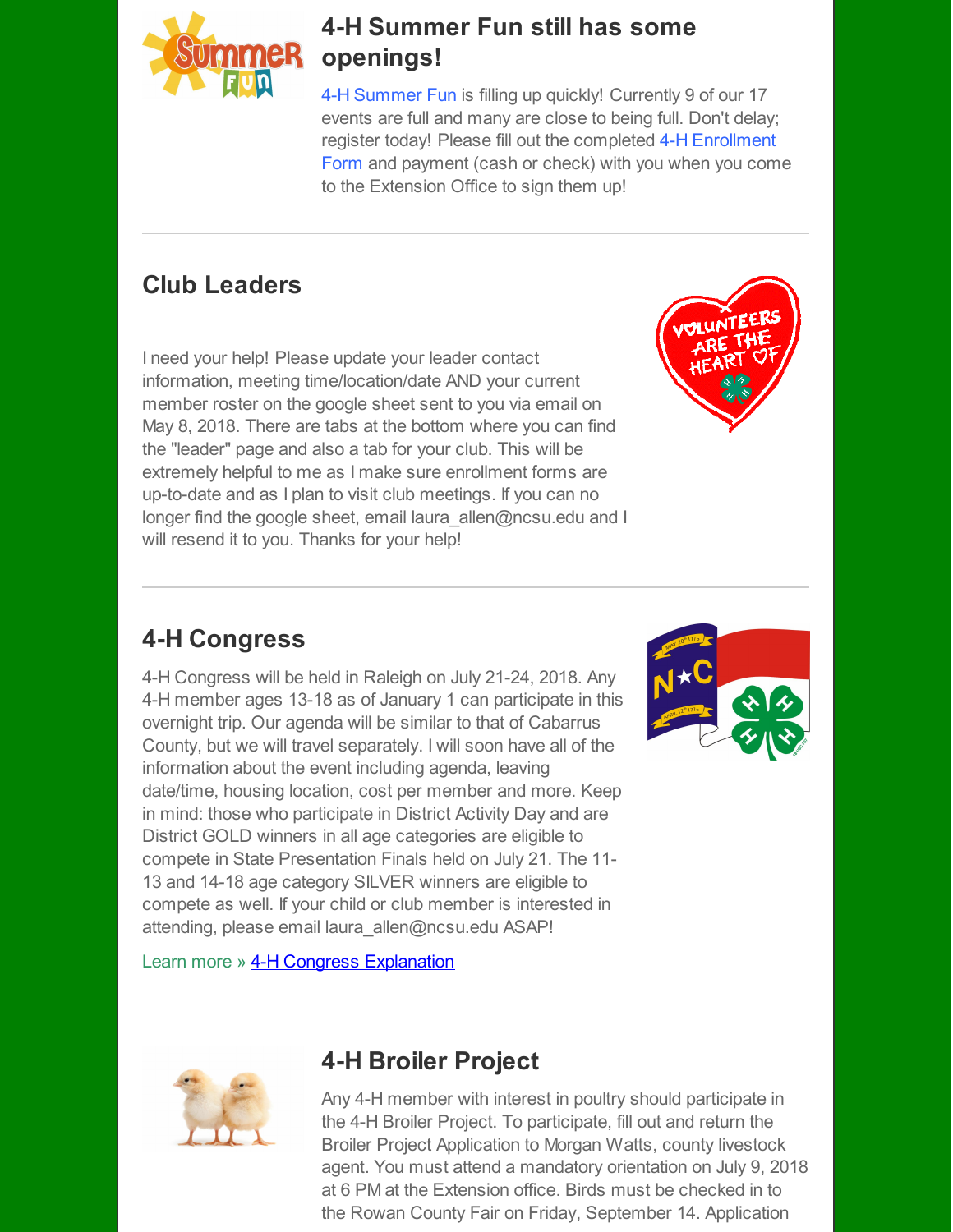

#### **4-H Summer Fun still has some openings!**

4-H [Summer](http://r20.rs6.net/tn.jsp?f=001znsxPpMki35KcnenLoJ_boFrU_M-w3iMEr5WfuDfbzYW9Kn4Ux-n8EbegsWmBS6_QaUDHDVL24-bvjvRS_f4h4SPafFy791YfdszI7gLHh6N1-IEA_VyIZxz0tvzFxLCRGdgcXh5XVQintRaZrTbKTnZJhE2kg0dcZkiW-HFkNBcBo3eI00GpBPElmSfQL0eq1hXba3lJHqy7vPom2rHZRqAS2NXZMAnemLOtc77wgbkRwgkEFqPeXsldTUwKxihwDW-uGkuwQ4xxaG1ZlFRLA==&c=&ch=) Fun is filling up quickly! Currently 9 of our 17 events are full and many are close to being full. Don't delay; register today! Please fill out the completed 4-H [Enrollment](http://r20.rs6.net/tn.jsp?f=001znsxPpMki35KcnenLoJ_boFrU_M-w3iMEr5WfuDfbzYW9Kn4Ux-n8EbegsWmBS6_F01Mb6aEhC3vKH9jcvUvL6P-o6hqOHs24fTbq0en26gSCC69ZTc4i6-Dv6FWfue3lbH508LsJY3AZSjcWi_Kp0t8B9RqUPdMXqVF6epf2auXp78YgJ8yXCN3-aZklNAil__ebWLgXPdN93nQCnbaIPwYpaDSD6LNHQ2Ia-kdYKkQSwr5JQ_wZDOAJO1d-dMywz018pT25ShtDj5fXBUv0g==&c=&ch=) Form and payment (cash or check) with you when you come to the Extension Office to sign them up!

### **Club Leaders**

I need your help! Please update your leader contact information, meeting time/location/date AND your current member roster on the google sheet sent to you via email on May 8, 2018. There are tabs at the bottom where you can find the "leader" page and also a tab for your club. This will be extremely helpful to me as I make sure enrollment forms are up-to-date and as I plan to visit club meetings. If you can no longer find the google sheet, email laura allen@ncsu.edu and I will resend it to you. Thanks for your help!



#### **4-H Congress**

4-H Congress will be held in Raleigh on July 21-24, 2018. Any 4-H member ages 13-18 as of January 1 can participate in this overnight trip. Our agenda will be similar to that of Cabarrus County, but we will travel separately. I will soon have all of the information about the event including agenda, leaving date/time, housing location, cost per member and more. Keep in mind: those who participate in District Activity Day and are District GOLD winners in all age categories are eligible to compete in State Presentation Finals held on July 21. The 11- 13 and 14-18 age category SILVER winners are eligible to compete as well. If your child or club member is interested in attending, please email laura allen@ncsu.edu ASAP!



[Learn](http://r20.rs6.net/tn.jsp?f=001znsxPpMki35KcnenLoJ_boFrU_M-w3iMEr5WfuDfbzYW9Kn4Ux-n8FsdX0tcyO_rsDmd_V0nq9H3QxbWJr6s-M0uHQlaTz25YMNyVkcz2lxKdEryctJNFVzJkYC8qaMLZQ9n-CRDQxX-GiMePX_jgsk_-oIBOh3QTSdmGynbVxQi4GaZRbV6_A==&c=&ch=) more » 4-H Congress [Explanation](http://r20.rs6.net/tn.jsp?f=001znsxPpMki35KcnenLoJ_boFrU_M-w3iMEr5WfuDfbzYW9Kn4Ux-n8EbegsWmBS6_UoOt7PbACSK2rxwtKlOlrNhNatkxcNRNDLSq1XQm7kwP7L8OuvhLuqv_AP6ewOpBiGL35wSr3FV8F4XbGYzR9PiFO-gm6ElwxlJAhTmKigwJAP6OMXoP9Z2nPiJ8XaJtXVrRFe1UcSRJPJYwsH8Qoe3y0sqXM2-kOls7OTmvSrQ=&c=&ch=)



### **4-H Broiler Project**

Any 4-H member with interest in poultry should participate in the 4-H Broiler Project. To participate, fill out and return the Broiler Project Application to Morgan Watts, county livestock agent. You must attend a mandatory orientation on July 9, 2018 at 6 PM at the Extension office. Birds must be checked in to the Rowan County Fair on Friday, September 14. Application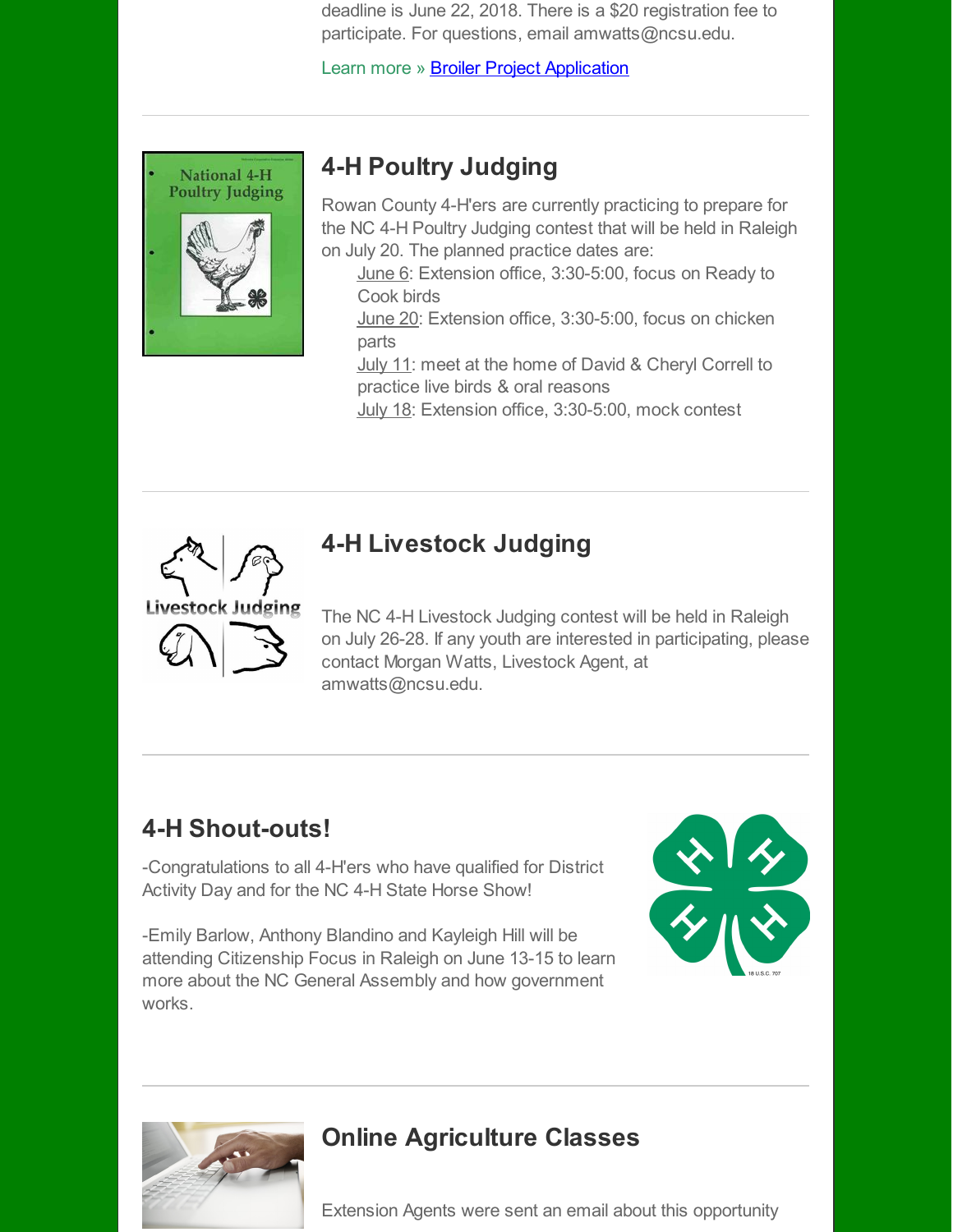deadline is June 22, 2018. There is a \$20 registration fee to participate. For questions, email amwatts@ncsu.edu.

[Learn](http://r20.rs6.net/tn.jsp?f=001znsxPpMki35KcnenLoJ_boFrU_M-w3iMEr5WfuDfbzYW9Kn4Ux-n8FsdX0tcyO_rsDmd_V0nq9H3QxbWJr6s-M0uHQlaTz25YMNyVkcz2lxKdEryctJNFVzJkYC8qaMLZQ9n-CRDQxX-GiMePX_jgsk_-oIBOh3QTSdmGynbVxQi4GaZRbV6_A==&c=&ch=) more » **Broiler Project [Application](http://r20.rs6.net/tn.jsp?f=001znsxPpMki35KcnenLoJ_boFrU_M-w3iMEr5WfuDfbzYW9Kn4Ux-n8LIdcbMe-DjmSH3Z-EQRK-CfMSy6ucMe5AhnVbdlRUh3AxAjRJK7SVy42pqxmUUxRPmmq22N1wQYkpluR7lBQkDhypqBociLdI7U5Lo6UPa4LZVWuuYF6y3DPVDKTvH7XvLKuCL4-R8DFxGgy3_Rs5nRhiBcsdqEMJEaJ9tEgjewu6iI8wzC7WZJYFmVJKGSy_sYWB33X7RoET7pB41taNK6eAfl5FcIeQ==&c=&ch=)** 



# **4-H Poultry Judging**

Rowan County 4-H'ers are currently practicing to prepare for the NC 4-H Poultry Judging contest that will be held in Raleigh on July 20. The planned practice dates are:

June 6: Extension office, 3:30-5:00, focus on Ready to Cook birds

June 20: Extension office, 3:30-5:00, focus on chicken parts

**July 11: meet at the home of David & Cheryl Correll to** practice live birds & oral reasons

July 18: Extension office, 3:30-5:00, mock contest



# **4-H Livestock Judging**

The NC 4-H Livestock Judging contest will be held in Raleigh on July 26-28. If any youth are interested in participating, please contact Morgan Watts, Livestock Agent, at amwatts@ncsu.edu.

# **4-H Shout-outs!**

-Congratulations to all 4-H'ers who have qualified for District Activity Day and for the NC 4-H State Horse Show!

-Emily Barlow, Anthony Blandino and Kayleigh Hill will be attending Citizenship Focus in Raleigh on June 13-15 to learn more about the NC General Assembly and how government works.





# **Online Agriculture Classes**

Extension Agents were sent an email about this opportunity